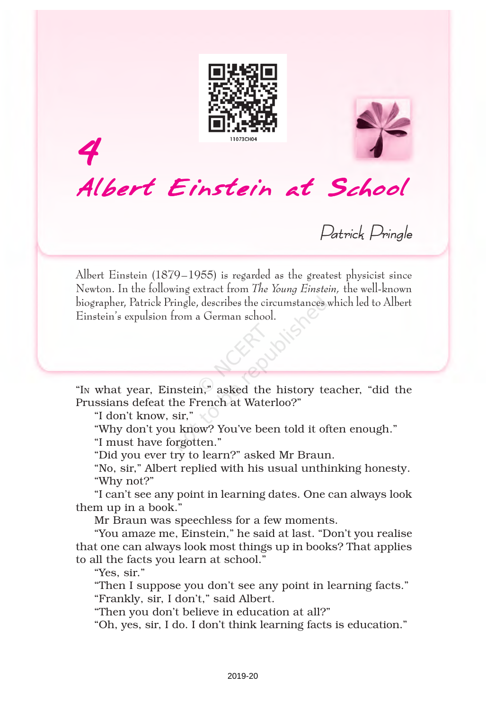



Patrick Pringle

Albert Einstein (1879–1955) is regarded as the greatest physicist since Newton. In the following extract from The Young Einstein, the well-known biographer, Patrick Pringle, describes the circumstances which led to Albert Einstein's expulsion from a German school.

"IN what year, Einstein," asked the history teacher, "did the Prussians defeat the French at Waterloo?"

"I don't know, sir,"

4

"Why don't you know? You've been told it often enough."

"I must have forgotten."

"Did you ever try to learn?" asked Mr Braun.

"No, sir," Albert replied with his usual unthinking honesty. "Why not?"

"I can't see any point in learning dates. One can always look them up in a book."

Mr Braun was speechless for a few moments.

"You amaze me, Einstein," he said at last. "Don't you realise that one can always look most things up in books? That applies to all the facts you learn at school."

"Yes, sir."

"Then I suppose you don't see any point in learning facts." "Frankly, sir, I don't," said Albert.

"Then you don't believe in education at all?"

"Oh, yes, sir, I do. I don't think learning facts is education."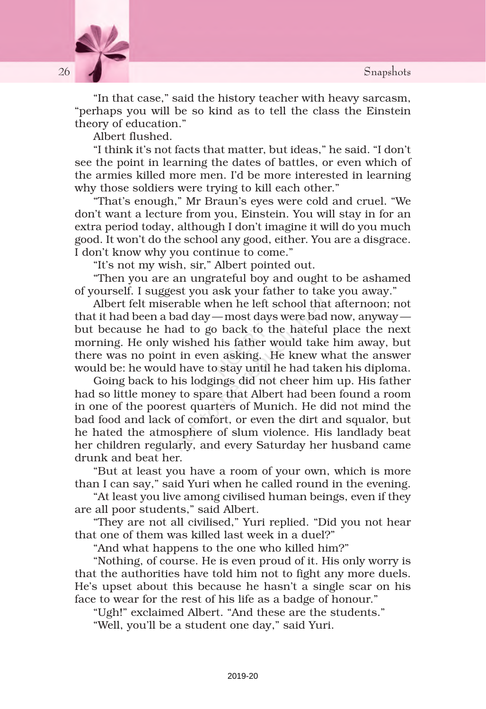

"In that case," said the history teacher with heavy sarcasm, "perhaps you will be so kind as to tell the class the Einstein theory of education."

Albert flushed.

"I think it's not facts that matter, but ideas," he said. "I don't see the point in learning the dates of battles, or even which of the armies killed more men. I'd be more interested in learning why those soldiers were trying to kill each other."

"That's enough," Mr Braun's eyes were cold and cruel. "We don't want a lecture from you, Einstein. You will stay in for an extra period today, although I don't imagine it will do you much good. It won't do the school any good, either. You are a disgrace. I don't know why you continue to come."

"It's not my wish, sir," Albert pointed out.

"Then you are an ungrateful boy and ought to be ashamed of yourself. I suggest you ask your father to take you away."

Albert felt miserable when he left school that afternoon; not that it had been a bad day—most days were bad now, anyway but because he had to go back to the hateful place the next morning. He only wished his father would take him away, but there was no point in even asking. He knew what the answer would be: he would have to stay until he had taken his diploma.

Going back to his lodgings did not cheer him up. His father had so little money to spare that Albert had been found a room in one of the poorest quarters of Munich. He did not mind the bad food and lack of comfort, or even the dirt and squalor, but he hated the atmosphere of slum violence. His landlady beat her children regularly, and every Saturday her husband came drunk and beat her.

"But at least you have a room of your own, which is more than I can say," said Yuri when he called round in the evening.

"At least you live among civilised human beings, even if they are all poor students," said Albert.

"They are not all civilised," Yuri replied. "Did you not hear that one of them was killed last week in a duel?"

"And what happens to the one who killed him?"

"Nothing, of course. He is even proud of it. His only worry is that the authorities have told him not to fight any more duels. He's upset about this because he hasn't a single scar on his face to wear for the rest of his life as a badge of honour."

"Ugh!" exclaimed Albert. "And these are the students."

"Well, you'll be a student one day," said Yuri.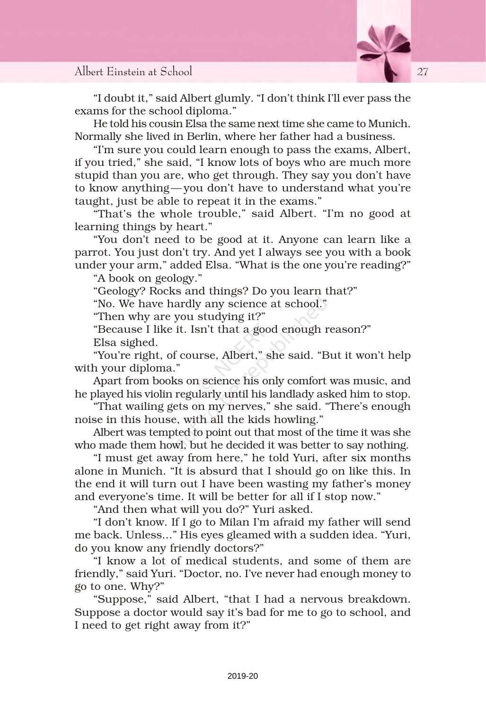

"I doubt it," said Albert glumly. "I don't think I'll ever pass the exams for the school diploma."

He told his cousin Elsa the same next time she came to Munich. Normally she lived in Berlin, where her father had a business.

"I'm sure you could learn enough to pass the exams, Albert, if you tried," she said, "I know lots of boys who are much more stupid than you are, who get through. They say you don't have to know anything— you don't have to understand what you're taught, just be able to repeat it in the exams."

"That's the whole trouble," said Albert. "I'm no good at learning things by heart."

"You don't need to be good at it. Anyone can learn like a parrot. You just don't try. And yet I always see you with a book under your arm," added Elsa. "What is the one you're reading?"

"A book on geology."

"Geology? Rocks and things? Do you learn that?"

"No. We have hardly any science at school."

"Then why are you studying it?"

"Because I like it. Isn't that a good enough reason?"

Elsa sighed.

"You're right, of course, Albert," she said. "But it won't help with your diploma."

Apart from books on science his only comfort was music, and he played his violin regularly until his landlady asked him to stop.

"That wailing gets on my nerves," she said. "There's enough noise in this house, with all the kids howling."

Albert was tempted to point out that most of the time it was she who made them howl, but he decided it was better to say nothing.

"I must get away from here," he told Yuri, after six months alone in Munich. "It is absurd that I should go on like this. In the end it will turn out I have been wasting my father's money and everyone's time. It will be better for all if I stop now."

"And then what will you do?" Yuri asked.

"I don't know. If I go to Milan I'm afraid my father will send me back. Unless..." His eyes gleamed with a sudden idea. "Yuri, do you know any friendly doctors?"

"I know a lot of medical students, and some of them are friendly," said Yuri. "Doctor, no. I've never had enough money to go to one. Why?"

"Suppose," said Albert, "that I had a nervous breakdown. Suppose a doctor would say it's bad for me to go to school, and I need to get right away from it?"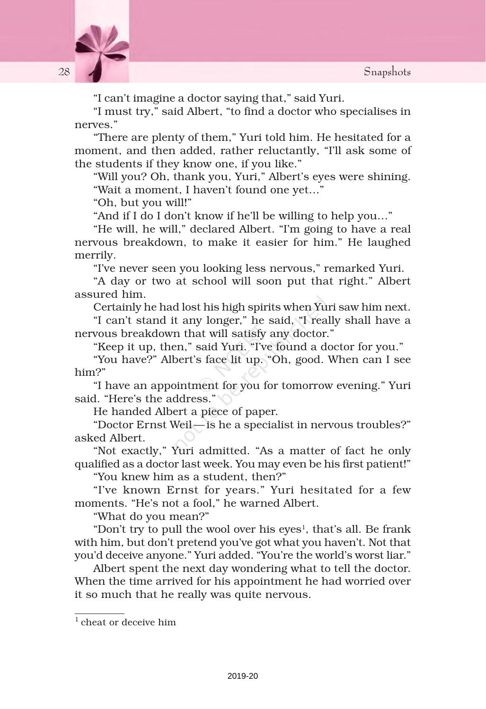

"I can't imagine a doctor saying that," said Yuri.

"I must try," said Albert, "to find a doctor who specialises in nerves."

"There are plenty of them," Yuri told him. He hesitated for a moment, and then added, rather reluctantly, "I'll ask some of the students if they know one, if you like."

"Will you? Oh, thank you, Yuri," Albert's eyes were shining. "Wait a moment, I haven't found one yet…"

"Oh, but you will!"

"And if I do I don't know if he'll be willing to help you…"

"He will, he will," declared Albert. "I'm going to have a real nervous breakdown, to make it easier for him." He laughed merrily.

"I've never seen you looking less nervous," remarked Yuri.

"A day or two at school will soon put that right." Albert assured him.

Certainly he had lost his high spirits when Yuri saw him next.

"I can't stand it any longer," he said, "I really shall have a nervous breakdown that will satisfy any doctor."

"Keep it up, then," said Yuri. "I've found a doctor for you."

"You have?" Albert's face lit up. "Oh, good. When can I see him?"

"I have an appointment for you for tomorrow evening." Yuri said. "Here's the address."

He handed Albert a piece of paper.

"Doctor Ernst Weil —is he a specialist in nervous troubles?" asked Albert.

"Not exactly," Yuri admitted. "As a matter of fact he only qualified as a doctor last week. You may even be his first patient!"

"You knew him as a student, then?"

"I've known Ernst for years." Yuri hesitated for a few moments. "He's not a fool," he warned Albert.

"What do you mean?"

"Don't try to pull the wool over his eyes<sup>1</sup>, that's all. Be frank with him, but don't pretend you've got what you haven't. Not that you'd deceive anyone." Yuri added. "You're the world's worst liar."

Albert spent the next day wondering what to tell the doctor. When the time arrived for his appointment he had worried over it so much that he really was quite nervous.

<sup>&</sup>lt;sup>1</sup> cheat or deceive him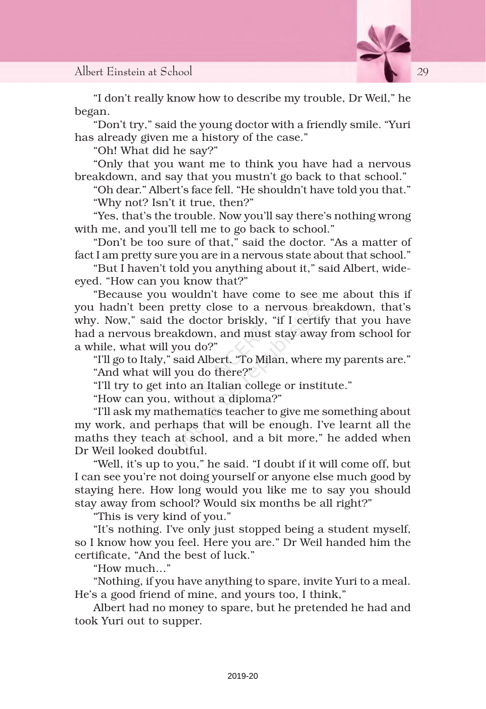

"I don't really know how to describe my trouble, Dr Weil," he began.

"Don't try," said the young doctor with a friendly smile. "Yuri has already given me a history of the case."

"Oh! What did he say?"

"Only that you want me to think you have had a nervous breakdown, and say that you mustn't go back to that school."

"Oh dear." Albert's face fell. "He shouldn't have told you that." "Why not? Isn't it true, then?"

"Yes, that's the trouble. Now you'll say there's nothing wrong with me, and you'll tell me to go back to school."

"Don't be too sure of that," said the doctor. "As a matter of fact I am pretty sure you are in a nervous state about that school."

"But I haven't told you anything about it," said Albert, wideeyed. "How can you know that?"

"Because you wouldn't have come to see me about this if you hadn't been pretty close to a nervous breakdown, that's why. Now," said the doctor briskly, "if I certify that you have had a nervous breakdown, and must stay away from school for a while, what will you do?"

"I'll go to Italy," said Albert. "To Milan, where my parents are."

"And what will you do there?"

"I'll try to get into an Italian college or institute."

"How can you, without a diploma?"

"I'll ask my mathematics teacher to give me something about my work, and perhaps that will be enough. I've learnt all the maths they teach at school, and a bit more," he added when Dr Weil looked doubtful.

"Well, it's up to you," he said. "I doubt if it will come off, but I can see you're not doing yourself or anyone else much good by staying here. How long would you like me to say you should stay away from school? Would six months be all right?"

"This is very kind of you."

"It's nothing. I've only just stopped being a student myself, so I know how you feel. Here you are." Dr Weil handed him the certificate, "And the best of luck."

"How much…"

"Nothing, if you have anything to spare, invite Yuri to a meal. He's a good friend of mine, and yours too, I think,"

Albert had no money to spare, but he pretended he had and took Yuri out to supper.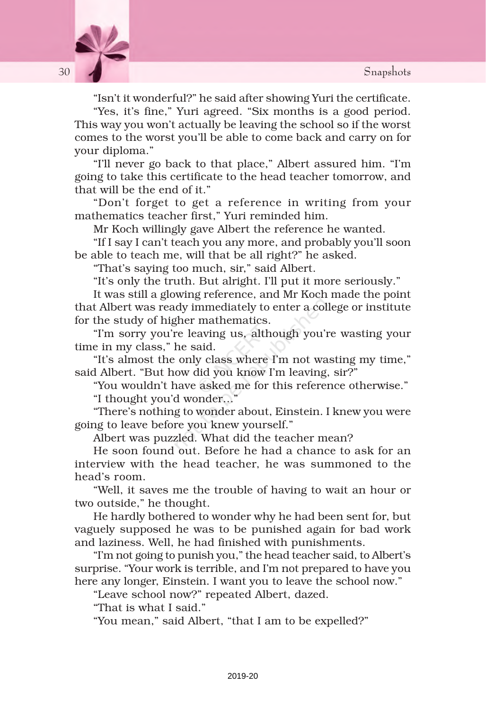

"Isn't it wonderful?" he said after showing Yuri the certificate.

"Yes, it's fine," Yuri agreed. "Six months is a good period. This way you won't actually be leaving the school so if the worst comes to the worst you'll be able to come back and carry on for your diploma."

"I'll never go back to that place," Albert assured him. "I'm going to take this certificate to the head teacher tomorrow, and that will be the end of it."

"Don't forget to get a reference in writing from your mathematics teacher first," Yuri reminded him.

Mr Koch willingly gave Albert the reference he wanted.

"If I say I can't teach you any more, and probably you'll soon be able to teach me, will that be all right?" he asked.

"That's saying too much, sir," said Albert.

"It's only the truth. But alright. I'll put it more seriously."

It was still a glowing reference, and Mr Koch made the point that Albert was ready immediately to enter a college or institute for the study of higher mathematics.

"I'm sorry you're leaving us, although you're wasting your time in my class," he said.

"It's almost the only class where I'm not wasting my time," said Albert. "But how did you know I'm leaving, sir?"

"You wouldn't have asked me for this reference otherwise."

"I thought you'd wonder…"

"There's nothing to wonder about, Einstein. I knew you were going to leave before you knew yourself."

Albert was puzzled. What did the teacher mean?

He soon found out. Before he had a chance to ask for an interview with the head teacher, he was summoned to the head's room.

"Well, it saves me the trouble of having to wait an hour or two outside," he thought.

He hardly bothered to wonder why he had been sent for, but vaguely supposed he was to be punished again for bad work and laziness. Well, he had finished with punishments.

"I'm not going to punish you," the head teacher said, to Albert's surprise. "Your work is terrible, and I'm not prepared to have you here any longer, Einstein. I want you to leave the school now."

"Leave school now?" repeated Albert, dazed.

"That is what I said."

"You mean," said Albert, "that I am to be expelled?"